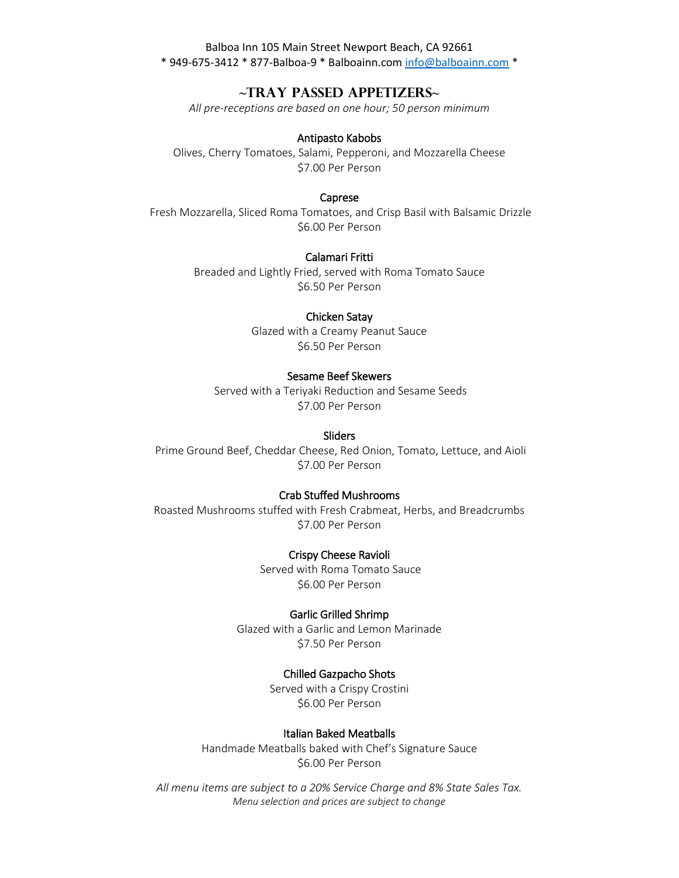# **~Tray Passed Appetizers~**

*All pre-receptions are based on one hour; 50 person minimum*

#### Antipasto Kabobs

Olives, Cherry Tomatoes, Salami, Pepperoni, and Mozzarella Cheese \$7.00 Per Person

#### Caprese

Fresh Mozzarella, Sliced Roma Tomatoes, and Crisp Basil with Balsamic Drizzle \$6.00 Per Person

### Calamari Fritti

Breaded and Lightly Fried, served with Roma Tomato Sauce \$6.50 Per Person

## Chicken Satay

Glazed with a Creamy Peanut Sauce \$6.50 Per Person

#### Sesame Beef Skewers

Served with a Teriyaki Reduction and Sesame Seeds \$7.00 Per Person

#### **Sliders**

Prime Ground Beef, Cheddar Cheese, Red Onion, Tomato, Lettuce, and Aioli \$7.00 Per Person

### Crab Stuffed Mushrooms

Roasted Mushrooms stuffed with Fresh Crabmeat, Herbs, and Breadcrumbs \$7.00 Per Person

## Crispy Cheese Ravioli

Served with Roma Tomato Sauce \$6.00 Per Person

#### Garlic Grilled Shrimp

Glazed with a Garlic and Lemon Marinade \$7.50 Per Person

### Chilled Gazpacho Shots

Served with a Crispy Crostini \$6.00 Per Person

## Italian Baked Meatballs

Handmade Meatballs baked with Chef's Signature Sauce \$6.00 Per Person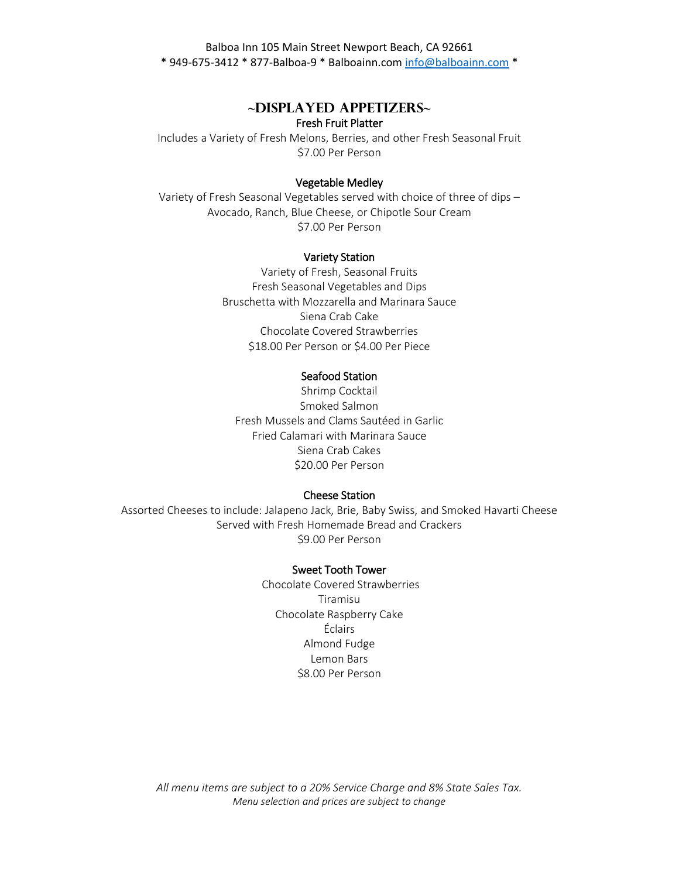# **~Displayed Appetizers~** Fresh Fruit Platter

Includes a Variety of Fresh Melons, Berries, and other Fresh Seasonal Fruit \$7.00 Per Person

# Vegetable Medley

Variety of Fresh Seasonal Vegetables served with choice of three of dips – Avocado, Ranch, Blue Cheese, or Chipotle Sour Cream \$7.00 Per Person

### Variety Station

Variety of Fresh, Seasonal Fruits Fresh Seasonal Vegetables and Dips Bruschetta with Mozzarella and Marinara Sauce Siena Crab Cake Chocolate Covered Strawberries \$18.00 Per Person or \$4.00 Per Piece

#### Seafood Station

Shrimp Cocktail Smoked Salmon Fresh Mussels and Clams Sautéed in Garlic Fried Calamari with Marinara Sauce Siena Crab Cakes \$20.00 Per Person

### Cheese Station

Assorted Cheeses to include: Jalapeno Jack, Brie, Baby Swiss, and Smoked Havarti Cheese Served with Fresh Homemade Bread and Crackers \$9.00 Per Person

### Sweet Tooth Tower

Chocolate Covered Strawberries Tiramisu Chocolate Raspberry Cake Éclairs Almond Fudge Lemon Bars \$8.00 Per Person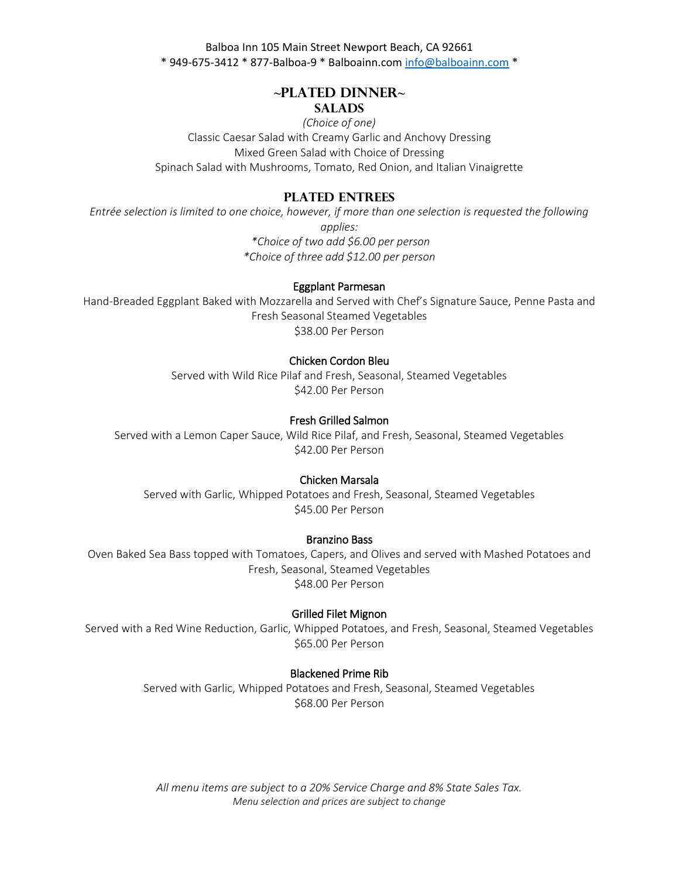# **~Plated Dinner~**

# **Salads**

*(Choice of one)*  Classic Caesar Salad with Creamy Garlic and Anchovy Dressing Mixed Green Salad with Choice of Dressing Spinach Salad with Mushrooms, Tomato, Red Onion, and Italian Vinaigrette

# **Plated Entrees**

*Entrée selection is limited to one choice, however, if more than one selection is requested the following applies: \*Choice of two add \$6.00 per person \*Choice of three add \$12.00 per person* 

#### Eggplant Parmesan

Hand-Breaded Eggplant Baked with Mozzarella and Served with Chef's Signature Sauce, Penne Pasta and Fresh Seasonal Steamed Vegetables \$38.00 Per Person

## Chicken Cordon Bleu

Served with Wild Rice Pilaf and Fresh, Seasonal, Steamed Vegetables \$42.00 Per Person

# Fresh Grilled Salmon

Served with a Lemon Caper Sauce, Wild Rice Pilaf, and Fresh, Seasonal, Steamed Vegetables \$42.00 Per Person

# Chicken Marsala

Served with Garlic, Whipped Potatoes and Fresh, Seasonal, Steamed Vegetables \$45.00 Per Person

#### Branzino Bass

Oven Baked Sea Bass topped with Tomatoes, Capers, and Olives and served with Mashed Potatoes and Fresh, Seasonal, Steamed Vegetables \$48.00 Per Person

#### Grilled Filet Mignon

Served with a Red Wine Reduction, Garlic, Whipped Potatoes, and Fresh, Seasonal, Steamed Vegetables \$65.00 Per Person

#### Blackened Prime Rib

Served with Garlic, Whipped Potatoes and Fresh, Seasonal, Steamed Vegetables \$68.00 Per Person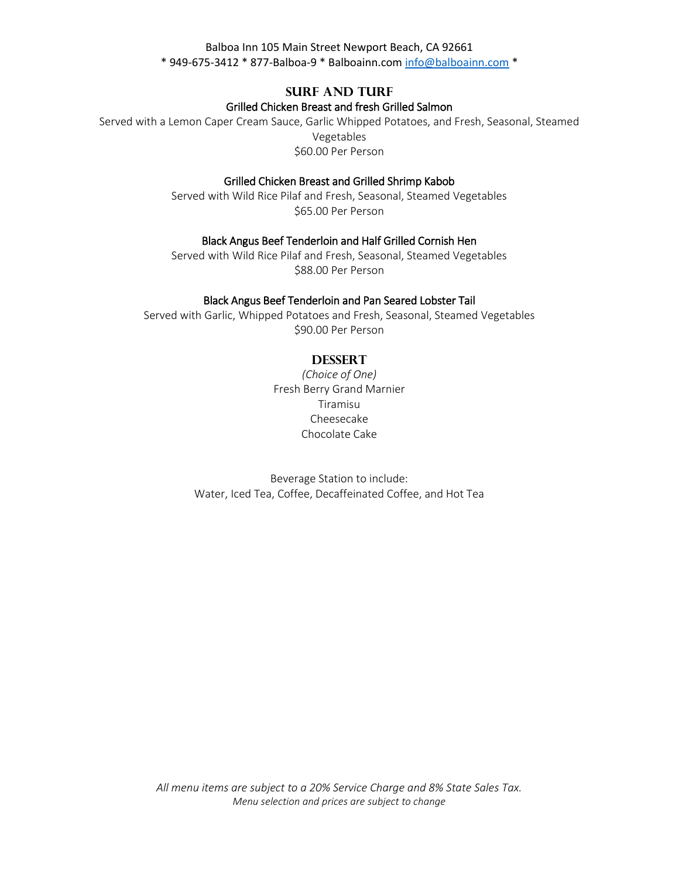# **Surf and Turf** Grilled Chicken Breast and fresh Grilled Salmon

Served with a Lemon Caper Cream Sauce, Garlic Whipped Potatoes, and Fresh, Seasonal, Steamed Vegetables \$60.00 Per Person

## Grilled Chicken Breast and Grilled Shrimp Kabob

Served with Wild Rice Pilaf and Fresh, Seasonal, Steamed Vegetables \$65.00 Per Person

## Black Angus Beef Tenderloin and Half Grilled Cornish Hen

Served with Wild Rice Pilaf and Fresh, Seasonal, Steamed Vegetables \$88.00 Per Person

# Black Angus Beef Tenderloin and Pan Seared Lobster Tail

Served with Garlic, Whipped Potatoes and Fresh, Seasonal, Steamed Vegetables \$90.00 Per Person

# **Dessert**

*(Choice of One)* Fresh Berry Grand Marnier Tiramisu Cheesecake Chocolate Cake

Beverage Station to include: Water, Iced Tea, Coffee, Decaffeinated Coffee, and Hot Tea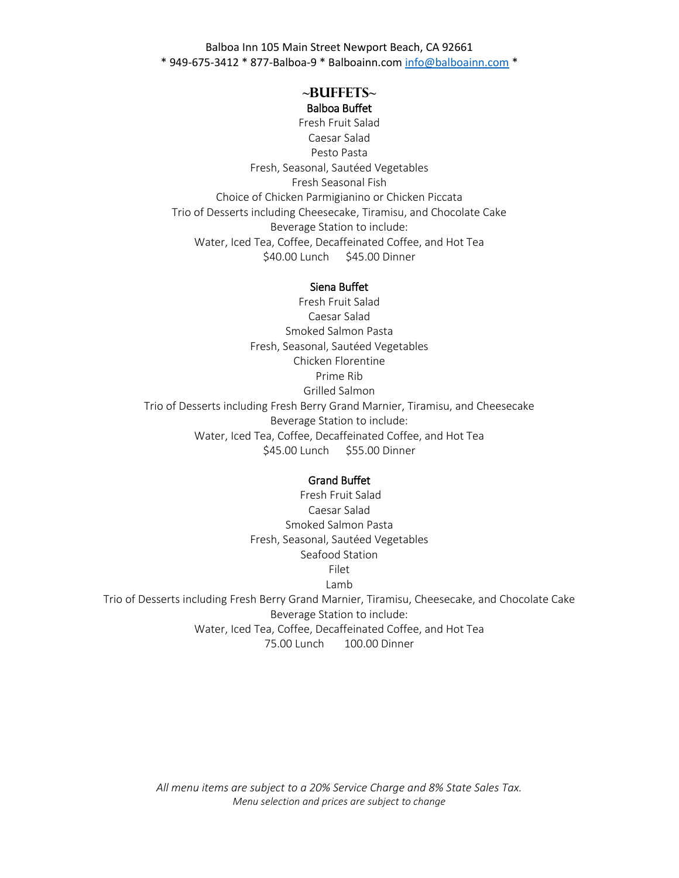## **~BUFFETS~** Balboa Buffet

Fresh Fruit Salad Caesar Salad Pesto Pasta Fresh, Seasonal, Sautéed Vegetables Fresh Seasonal Fish Choice of Chicken Parmigianino or Chicken Piccata Trio of Desserts including Cheesecake, Tiramisu, and Chocolate Cake Beverage Station to include: Water, Iced Tea, Coffee, Decaffeinated Coffee, and Hot Tea \$40.00 Lunch \$45.00 Dinner

#### Siena Buffet

Fresh Fruit Salad Caesar Salad Smoked Salmon Pasta Fresh, Seasonal, Sautéed Vegetables Chicken Florentine Prime Rib Grilled Salmon Trio of Desserts including Fresh Berry Grand Marnier, Tiramisu, and Cheesecake Beverage Station to include: Water, Iced Tea, Coffee, Decaffeinated Coffee, and Hot Tea \$45.00 Lunch \$55.00 Dinner

#### Grand Buffet

Fresh Fruit Salad Caesar Salad Smoked Salmon Pasta Fresh, Seasonal, Sautéed Vegetables Seafood Station Filet Lamb Trio of Desserts including Fresh Berry Grand Marnier, Tiramisu, Cheesecake, and Chocolate Cake Beverage Station to include: Water, Iced Tea, Coffee, Decaffeinated Coffee, and Hot Tea 75.00 Lunch 100.00 Dinner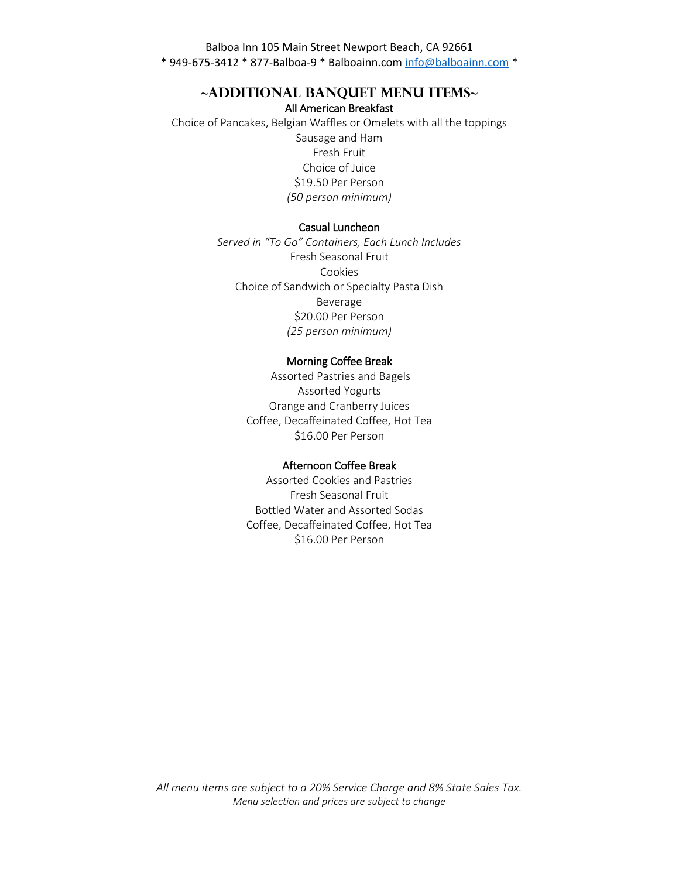# **~Additional Banquet Menu Items~** All American Breakfast

Choice of Pancakes, Belgian Waffles or Omelets with all the toppings Sausage and Ham Fresh Fruit Choice of Juice \$19.50 Per Person *(50 person minimum)*

# Casual Luncheon

*Served in "To Go" Containers, Each Lunch Includes*  Fresh Seasonal Fruit Cookies Choice of Sandwich or Specialty Pasta Dish Beverage \$20.00 Per Person *(25 person minimum)*

#### Morning Coffee Break

Assorted Pastries and Bagels Assorted Yogurts Orange and Cranberry Juices Coffee, Decaffeinated Coffee, Hot Tea \$16.00 Per Person

#### Afternoon Coffee Break

Assorted Cookies and Pastries Fresh Seasonal Fruit Bottled Water and Assorted Sodas Coffee, Decaffeinated Coffee, Hot Tea \$16.00 Per Person